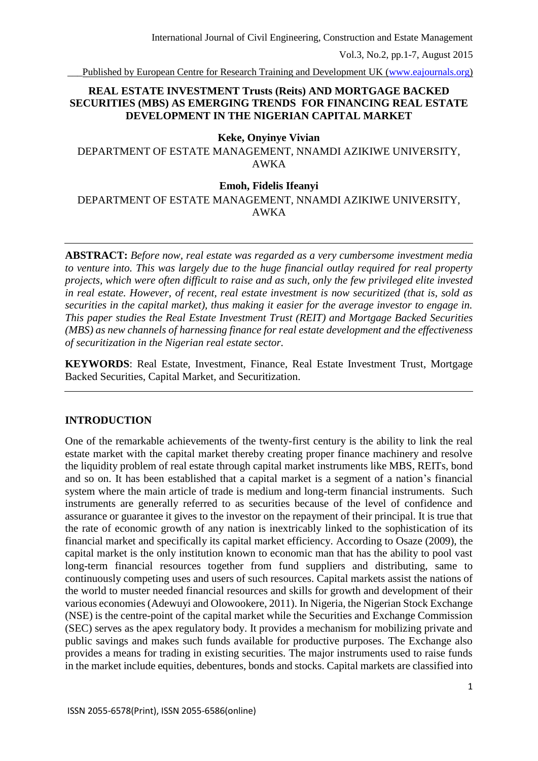\_\_\_Published by European Centre for Research Training and Development UK [\(www.eajournals.org\)](http://www.eajournals.org/)

# **REAL ESTATE INVESTMENT Trusts (Reits) AND MORTGAGE BACKED SECURITIES (MBS) AS EMERGING TRENDS FOR FINANCING REAL ESTATE DEVELOPMENT IN THE NIGERIAN CAPITAL MARKET**

## **Keke, Onyinye Vivian**

DEPARTMENT OF ESTATE MANAGEMENT, NNAMDI AZIKIWE UNIVERSITY, AWKA

### **Emoh, Fidelis Ifeanyi**

DEPARTMENT OF ESTATE MANAGEMENT, NNAMDI AZIKIWE UNIVERSITY, AWKA

**ABSTRACT:** *Before now, real estate was regarded as a very cumbersome investment media to venture into. This was largely due to the huge financial outlay required for real property projects, which were often difficult to raise and as such, only the few privileged elite invested in real estate. However, of recent, real estate investment is now securitized (that is, sold as securities in the capital market), thus making it easier for the average investor to engage in. This paper studies the Real Estate Investment Trust (REIT) and Mortgage Backed Securities (MBS) as new channels of harnessing finance for real estate development and the effectiveness of securitization in the Nigerian real estate sector.*

**KEYWORDS**: Real Estate, Investment, Finance, Real Estate Investment Trust, Mortgage Backed Securities, Capital Market, and Securitization.

# **INTRODUCTION**

One of the remarkable achievements of the twenty-first century is the ability to link the real estate market with the capital market thereby creating proper finance machinery and resolve the liquidity problem of real estate through capital market instruments like MBS, REITs, bond and so on. It has been established that a capital market is a segment of a nation's financial system where the main article of trade is medium and long-term financial instruments. Such instruments are generally referred to as securities because of the level of confidence and assurance or guarantee it gives to the investor on the repayment of their principal. It is true that the rate of economic growth of any nation is inextricably linked to the sophistication of its financial market and specifically its capital market efficiency. According to Osaze (2009), the capital market is the only institution known to economic man that has the ability to pool vast long-term financial resources together from fund suppliers and distributing, same to continuously competing uses and users of such resources. Capital markets assist the nations of the world to muster needed financial resources and skills for growth and development of their various economies (Adewuyi and Olowookere, 2011). In Nigeria, the Nigerian Stock Exchange (NSE) is the centre-point of the capital market while the Securities and Exchange Commission (SEC) serves as the apex regulatory body. It provides a mechanism for mobilizing private and public savings and makes such funds available for productive purposes. The Exchange also provides a means for trading in existing securities. The major instruments used to raise funds in the market include equities, debentures, bonds and stocks. Capital markets are classified into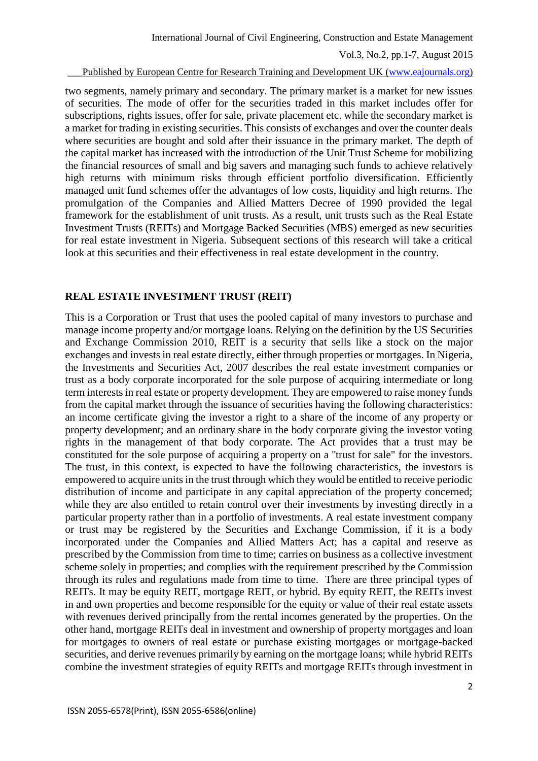#### \_\_\_Published by European Centre for Research Training and Development UK [\(www.eajournals.org\)](http://www.eajournals.org/)

two segments, namely primary and secondary. The primary market is a market for new issues of securities. The mode of offer for the securities traded in this market includes offer for subscriptions, rights issues, offer for sale, private placement etc. while the secondary market is a market for trading in existing securities. This consists of exchanges and over the counter deals where securities are bought and sold after their issuance in the primary market. The depth of the capital market has increased with the introduction of the Unit Trust Scheme for mobilizing the financial resources of small and big savers and managing such funds to achieve relatively high returns with minimum risks through efficient portfolio diversification. Efficiently managed unit fund schemes offer the advantages of low costs, liquidity and high returns. The promulgation of the Companies and Allied Matters Decree of 1990 provided the legal framework for the establishment of unit trusts. As a result, unit trusts such as the Real Estate Investment Trusts (REITs) and Mortgage Backed Securities (MBS) emerged as new securities for real estate investment in Nigeria. Subsequent sections of this research will take a critical look at this securities and their effectiveness in real estate development in the country.

## **REAL ESTATE INVESTMENT TRUST (REIT)**

This is a Corporation or Trust that uses the pooled capital of many investors to purchase and manage income property and/or mortgage loans. Relying on the definition by the US Securities and Exchange Commission 2010, REIT is a security that sells like a stock on the major exchanges and invests in real estate directly, either through properties or mortgages. In Nigeria, the Investments and Securities Act, 2007 describes the real estate investment companies or trust as a body corporate incorporated for the sole purpose of acquiring intermediate or long term interests in real estate or property development. They are empowered to raise money funds from the capital market through the issuance of securities having the following characteristics: an income certificate giving the investor a right to a share of the income of any property or property development; and an ordinary share in the body corporate giving the investor voting rights in the management of that body corporate. The Act provides that a trust may be constituted for the sole purpose of acquiring a property on a ''trust for sale" for the investors. The trust, in this context, is expected to have the following characteristics, the investors is empowered to acquire units in the trust through which they would be entitled to receive periodic distribution of income and participate in any capital appreciation of the property concerned; while they are also entitled to retain control over their investments by investing directly in a particular property rather than in a portfolio of investments. A real estate investment company or trust may be registered by the Securities and Exchange Commission, if it is a body incorporated under the Companies and Allied Matters Act; has a capital and reserve as prescribed by the Commission from time to time; carries on business as a collective investment scheme solely in properties; and complies with the requirement prescribed by the Commission through its rules and regulations made from time to time. There are three principal types of REITs. It may be equity REIT, mortgage REIT, or hybrid. By equity REIT, the REITs invest in and own properties and become responsible for the equity or value of their real estate assets with revenues derived principally from the rental incomes generated by the properties. On the other hand, mortgage REITs deal in investment and ownership of property mortgages and loan for mortgages to owners of real estate or purchase existing mortgages or mortgage-backed securities, and derive revenues primarily by earning on the mortgage loans; while hybrid REITs combine the investment strategies of equity REITs and mortgage REITs through investment in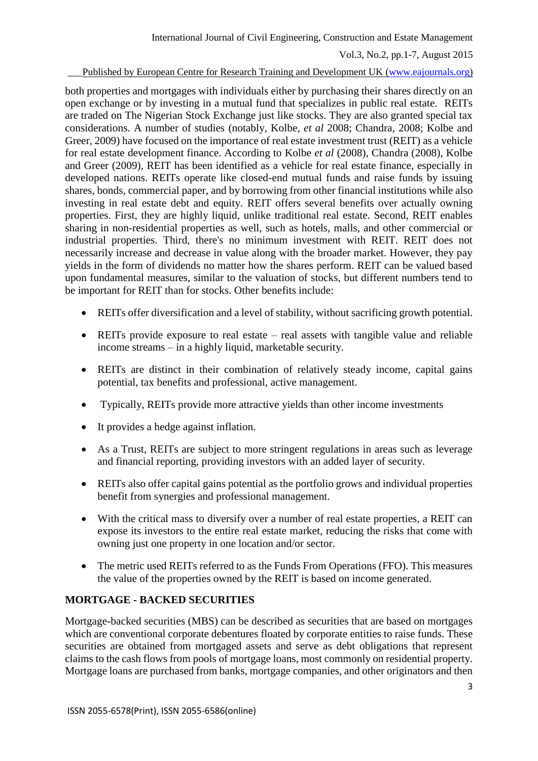## Published by European Centre for Research Training and Development UK [\(www.eajournals.org\)](http://www.eajournals.org/)

both properties and mortgages with individuals either by purchasing their shares directly on an open exchange or by investing in a mutual fund that specializes in public real estate. REITs are traded on The Nigerian Stock Exchange just like stocks. They are also granted special tax considerations. A number of studies (notably, Kolbe, *et al* 2008; Chandra, 2008; Kolbe and Greer, 2009) have focused on the importance of real estate investment trust (REIT) as a vehicle for real estate development finance. According to Kolbe *et al* (2008), Chandra (2008), Kolbe and Greer (2009), REIT has been identified as a vehicle for real estate finance, especially in developed nations. REITs operate like closed-end mutual funds and raise funds by issuing shares, bonds, commercial paper, and by borrowing from other financial institutions while also investing in real estate debt and equity. REIT offers several benefits over actually owning properties. First, they are highly liquid, unlike traditional real estate. Second, REIT enables sharing in non-residential properties as well, such as hotels, malls, and other commercial or industrial properties. Third, there's no minimum investment with REIT. REIT does not necessarily increase and decrease in value along with the broader market. However, they pay yields in the form of dividends no matter how the shares perform. REIT can be valued based upon fundamental measures, similar to the valuation of stocks, but different numbers tend to be important for REIT than for stocks. Other benefits include:

- REITs offer diversification and a level of stability, without sacrificing growth potential.
- REITs provide exposure to real estate real assets with tangible value and reliable income streams – in a highly liquid, marketable security.
- REITs are distinct in their combination of relatively steady income, capital gains potential, tax benefits and professional, active management.
- Typically, REITs provide more attractive yields than other income investments
- It provides a hedge against inflation.
- As a Trust, REITs are subject to more stringent regulations in areas such as leverage and financial reporting, providing investors with an added layer of security.
- REITs also offer capital gains potential as the portfolio grows and individual properties benefit from synergies and professional management.
- With the critical mass to diversify over a number of real estate properties, a REIT can expose its investors to the entire real estate market, reducing the risks that come with owning just one property in one location and/or sector.
- The metric used REITs referred to as the Funds From Operations (FFO). This measures the value of the properties owned by the REIT is based on income generated.

# **MORTGAGE - BACKED SECURITIES**

Mortgage-backed securities (MBS) can be described as securities that are based on mortgages which are conventional corporate debentures floated by corporate entities to raise funds. These securities are obtained from mortgaged assets and serve as debt obligations that represent claims to the cash flows from pools of mortgage loans, most commonly on residential property. Mortgage loans are purchased from banks, mortgage companies, and other originators and then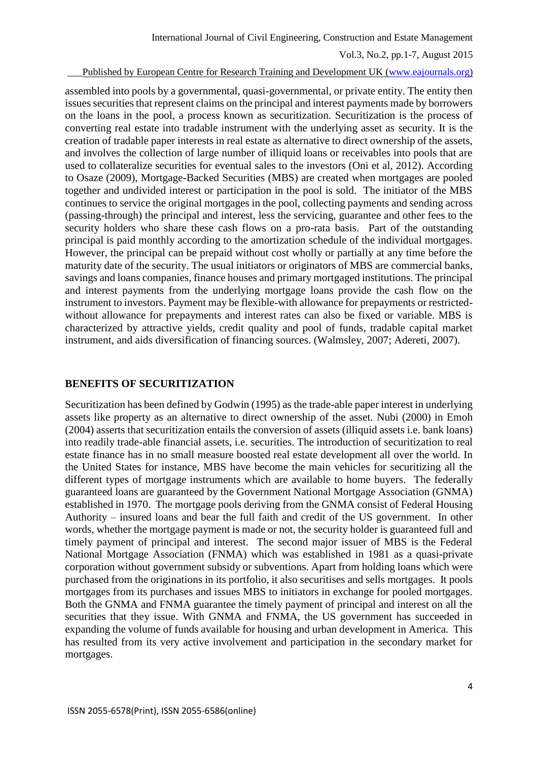#### Published by European Centre for Research Training and Development UK [\(www.eajournals.org\)](http://www.eajournals.org/)

assembled into pools by a governmental, quasi-governmental, or private entity. The entity then issues securities that represent claims on the principal and interest payments made by borrowers on the loans in the pool, a process known as securitization. Securitization is the process of converting real estate into tradable instrument with the underlying asset as security. It is the creation of tradable paper interests in real estate as alternative to direct ownership of the assets, and involves the collection of large number of illiquid loans or receivables into pools that are used to collateralize securities for eventual sales to the investors (Oni et al, 2012). According to Osaze (2009), Mortgage-Backed Securities (MBS) are created when mortgages are pooled together and undivided interest or participation in the pool is sold. The initiator of the MBS continues to service the original mortgages in the pool, collecting payments and sending across (passing-through) the principal and interest, less the servicing, guarantee and other fees to the security holders who share these cash flows on a pro-rata basis. Part of the outstanding principal is paid monthly according to the amortization schedule of the individual mortgages. However, the principal can be prepaid without cost wholly or partially at any time before the maturity date of the security. The usual initiators or originators of MBS are commercial banks, savings and loans companies, finance houses and primary mortgaged institutions. The principal and interest payments from the underlying mortgage loans provide the cash flow on the instrument to investors. Payment may be flexible-with allowance for prepayments or restrictedwithout allowance for prepayments and interest rates can also be fixed or variable. MBS is characterized by attractive yields, credit quality and pool of funds, tradable capital market instrument, and aids diversification of financing sources. (Walmsley, 2007; Adereti, 2007).

## **BENEFITS OF SECURITIZATION**

Securitization has been defined by Godwin (1995) as the trade-able paper interest in underlying assets like property as an alternative to direct ownership of the asset. Nubi (2000) in Emoh (2004) asserts that securitization entails the conversion of assets (illiquid assets i.e. bank loans) into readily trade-able financial assets, i.e. securities. The introduction of securitization to real estate finance has in no small measure boosted real estate development all over the world. In the United States for instance, MBS have become the main vehicles for securitizing all the different types of mortgage instruments which are available to home buyers. The federally guaranteed loans are guaranteed by the Government National Mortgage Association (GNMA) established in 1970. The mortgage pools deriving from the GNMA consist of Federal Housing Authority – insured loans and bear the full faith and credit of the US government. In other words, whether the mortgage payment is made or not, the security holder is guaranteed full and timely payment of principal and interest. The second major issuer of MBS is the Federal National Mortgage Association (FNMA) which was established in 1981 as a quasi-private corporation without government subsidy or subventions. Apart from holding loans which were purchased from the originations in its portfolio, it also securitises and sells mortgages. It pools mortgages from its purchases and issues MBS to initiators in exchange for pooled mortgages. Both the GNMA and FNMA guarantee the timely payment of principal and interest on all the securities that they issue. With GNMA and FNMA, the US government has succeeded in expanding the volume of funds available for housing and urban development in America. This has resulted from its very active involvement and participation in the secondary market for mortgages.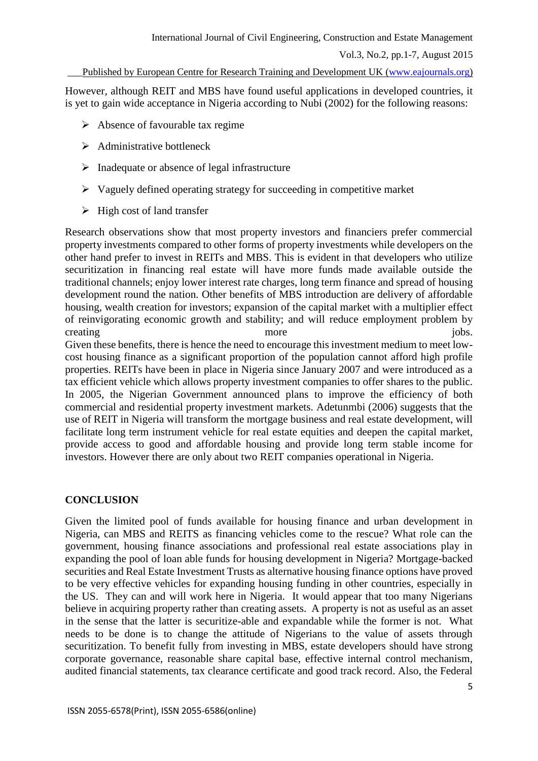Published by European Centre for Research Training and Development UK [\(www.eajournals.org\)](http://www.eajournals.org/)

However, although REIT and MBS have found useful applications in developed countries, it is yet to gain wide acceptance in Nigeria according to Nubi (2002) for the following reasons:

- $\triangleright$  Absence of favourable tax regime
- $\triangleright$  Administrative bottleneck
- $\triangleright$  Inadequate or absence of legal infrastructure
- $\triangleright$  Vaguely defined operating strategy for succeeding in competitive market
- $\triangleright$  High cost of land transfer

Research observations show that most property investors and financiers prefer commercial property investments compared to other forms of property investments while developers on the other hand prefer to invest in REITs and MBS. This is evident in that developers who utilize securitization in financing real estate will have more funds made available outside the traditional channels; enjoy lower interest rate charges, long term finance and spread of housing development round the nation. Other benefits of MBS introduction are delivery of affordable housing, wealth creation for investors; expansion of the capital market with a multiplier effect of reinvigorating economic growth and stability; and will reduce employment problem by creating more in the more in the set of the set of the set of the set of the set of the set of the set of the set of the set of the set of the set of the set of the set of the set of the set of the set of the set of the se Given these benefits, there is hence the need to encourage this investment medium to meet lowcost housing finance as a significant proportion of the population cannot afford high profile properties. REITs have been in place in Nigeria since January 2007 and were introduced as a tax efficient vehicle which allows property investment companies to offer shares to the public. In 2005, the Nigerian Government announced plans to improve the efficiency of both commercial and residential property investment markets. Adetunmbi (2006) suggests that the use of REIT in Nigeria will transform the mortgage business and real estate development, will facilitate long term instrument vehicle for real estate equities and deepen the capital market,

provide access to good and affordable housing and provide long term stable income for investors. However there are only about two REIT companies operational in Nigeria.

# **CONCLUSION**

Given the limited pool of funds available for housing finance and urban development in Nigeria, can MBS and REITS as financing vehicles come to the rescue? What role can the government, housing finance associations and professional real estate associations play in expanding the pool of loan able funds for housing development in Nigeria? Mortgage-backed securities and Real Estate Investment Trusts as alternative housing finance options have proved to be very effective vehicles for expanding housing funding in other countries, especially in the US. They can and will work here in Nigeria. It would appear that too many Nigerians believe in acquiring property rather than creating assets. A property is not as useful as an asset in the sense that the latter is securitize-able and expandable while the former is not. What needs to be done is to change the attitude of Nigerians to the value of assets through securitization. To benefit fully from investing in MBS, estate developers should have strong corporate governance, reasonable share capital base, effective internal control mechanism, audited financial statements, tax clearance certificate and good track record. Also, the Federal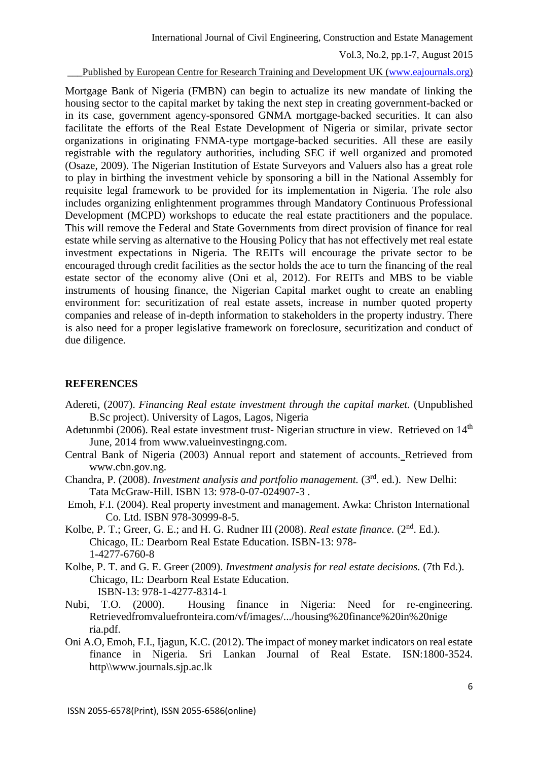\_\_\_Published by European Centre for Research Training and Development UK [\(www.eajournals.org\)](http://www.eajournals.org/)

Mortgage Bank of Nigeria (FMBN) can begin to actualize its new mandate of linking the housing sector to the capital market by taking the next step in creating government-backed or in its case, government agency-sponsored GNMA mortgage-backed securities. It can also facilitate the efforts of the Real Estate Development of Nigeria or similar, private sector organizations in originating FNMA-type mortgage-backed securities. All these are easily registrable with the regulatory authorities, including SEC if well organized and promoted (Osaze, 2009). The Nigerian Institution of Estate Surveyors and Valuers also has a great role to play in birthing the investment vehicle by sponsoring a bill in the National Assembly for requisite legal framework to be provided for its implementation in Nigeria. The role also includes organizing enlightenment programmes through Mandatory Continuous Professional Development (MCPD) workshops to educate the real estate practitioners and the populace. This will remove the Federal and State Governments from direct provision of finance for real estate while serving as alternative to the Housing Policy that has not effectively met real estate investment expectations in Nigeria. The REITs will encourage the private sector to be encouraged through credit facilities as the sector holds the ace to turn the financing of the real estate sector of the economy alive (Oni et al, 2012). For REITs and MBS to be viable instruments of housing finance, the Nigerian Capital market ought to create an enabling environment for: securitization of real estate assets, increase in number quoted property companies and release of in-depth information to stakeholders in the property industry. There is also need for a proper legislative framework on foreclosure, securitization and conduct of due diligence.

# **REFERENCES**

- Adereti, (2007). *Financing Real estate investment through the capital market.* (Unpublished B.Sc project). University of Lagos, Lagos, Nigeria
- Adetunmbi (2006). Real estate investment trust- Nigerian structure in view. Retrieved on 14<sup>th</sup> June, 2014 from www.valueinvestingng.com.
- Central Bank of Nigeria (2003) Annual report and statement of accounts. Retrieved from www.cbn.gov.ng.
- Chandra, P. (2008). *Investment analysis and portfolio management*. (3<sup>rd</sup>. ed.). New Delhi: Tata McGraw-Hill. ISBN 13: 978-0-07-024907-3 .
- Emoh, F.I. (2004). Real property investment and management. Awka: Christon International Co. Ltd. ISBN 978-30999-8-5.
- Kolbe, P. T.; Greer, G. E.; and H. G. Rudner III (2008). *Real estate finance*. (2<sup>nd</sup>. Ed.). Chicago, IL: Dearborn Real Estate Education. ISBN-13: 978- 1-4277-6760-8
- Kolbe, P. T. and G. E. Greer (2009). *Investment analysis for real estate decisions.* (7th Ed.). Chicago, IL: Dearborn Real Estate Education. ISBN-13: 978-1-4277-8314-1
- Nubi, T.O. (2000). Housing finance in Nigeria: Need for re-engineering. Retrievedfromvaluefronteira.com/vf/images/.../housing%20finance%20in%20nige ria.pdf.
- Oni A.O, Emoh, F.I., Ijagun, K.C. (2012). The impact of money market indicators on real estate finance in Nigeria. Sri Lankan Journal of Real Estate. ISN:1800-3524. http\\www.journals.sjp.ac.lk